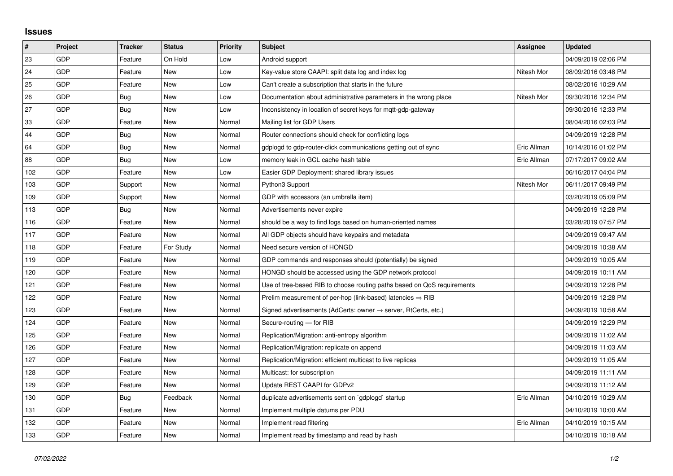## **Issues**

| $\vert$ # | Project    | <b>Tracker</b> | <b>Status</b> | <b>Priority</b> | <b>Subject</b>                                                          | Assignee    | <b>Updated</b>      |
|-----------|------------|----------------|---------------|-----------------|-------------------------------------------------------------------------|-------------|---------------------|
| 23        | GDP        | Feature        | On Hold       | Low             | Android support                                                         |             | 04/09/2019 02:06 PM |
| 24        | <b>GDP</b> | Feature        | <b>New</b>    | Low             | Key-value store CAAPI: split data log and index log                     | Nitesh Mor  | 08/09/2016 03:48 PM |
| 25        | <b>GDP</b> | Feature        | <b>New</b>    | Low             | Can't create a subscription that starts in the future                   |             | 08/02/2016 10:29 AM |
| 26        | GDP        | <b>Bug</b>     | <b>New</b>    | Low             | Documentation about administrative parameters in the wrong place        | Nitesh Mor  | 09/30/2016 12:34 PM |
| 27        | <b>GDP</b> | Bug            | <b>New</b>    | Low             | Inconsistency in location of secret keys for mqtt-gdp-gateway           |             | 09/30/2016 12:33 PM |
| 33        | <b>GDP</b> | Feature        | <b>New</b>    | Normal          | Mailing list for GDP Users                                              |             | 08/04/2016 02:03 PM |
| 44        | GDP        | Bug            | <b>New</b>    | Normal          | Router connections should check for conflicting logs                    |             | 04/09/2019 12:28 PM |
| 64        | <b>GDP</b> | Bug            | <b>New</b>    | Normal          | gdplogd to gdp-router-click communications getting out of sync          | Eric Allman | 10/14/2016 01:02 PM |
| 88        | <b>GDP</b> | <b>Bug</b>     | <b>New</b>    | Low             | memory leak in GCL cache hash table                                     | Eric Allman | 07/17/2017 09:02 AM |
| 102       | <b>GDP</b> | Feature        | New           | Low             | Easier GDP Deployment: shared library issues                            |             | 06/16/2017 04:04 PM |
| 103       | <b>GDP</b> | Support        | <b>New</b>    | Normal          | Python3 Support                                                         | Nitesh Mor  | 06/11/2017 09:49 PM |
| 109       | <b>GDP</b> | Support        | New           | Normal          | GDP with accessors (an umbrella item)                                   |             | 03/20/2019 05:09 PM |
| 113       | <b>GDP</b> | Bug            | <b>New</b>    | Normal          | Advertisements never expire                                             |             | 04/09/2019 12:28 PM |
| 116       | <b>GDP</b> | Feature        | <b>New</b>    | Normal          | should be a way to find logs based on human-oriented names              |             | 03/28/2019 07:57 PM |
| 117       | <b>GDP</b> | Feature        | <b>New</b>    | Normal          | All GDP objects should have keypairs and metadata                       |             | 04/09/2019 09:47 AM |
| 118       | <b>GDP</b> | Feature        | For Study     | Normal          | Need secure version of HONGD                                            |             | 04/09/2019 10:38 AM |
| 119       | <b>GDP</b> | Feature        | <b>New</b>    | Normal          | GDP commands and responses should (potentially) be signed               |             | 04/09/2019 10:05 AM |
| 120       | <b>GDP</b> | Feature        | <b>New</b>    | Normal          | HONGD should be accessed using the GDP network protocol                 |             | 04/09/2019 10:11 AM |
| 121       | <b>GDP</b> | Feature        | <b>New</b>    | Normal          | Use of tree-based RIB to choose routing paths based on QoS requirements |             | 04/09/2019 12:28 PM |
| 122       | <b>GDP</b> | Feature        | <b>New</b>    | Normal          | Prelim measurement of per-hop (link-based) latencies $\Rightarrow$ RIB  |             | 04/09/2019 12:28 PM |
| 123       | <b>GDP</b> | Feature        | <b>New</b>    | Normal          | Signed advertisements (AdCerts: owner → server, RtCerts, etc.)          |             | 04/09/2019 10:58 AM |
| 124       | <b>GDP</b> | Feature        | <b>New</b>    | Normal          | Secure-routing - for RIB                                                |             | 04/09/2019 12:29 PM |
| 125       | <b>GDP</b> | Feature        | <b>New</b>    | Normal          | Replication/Migration: anti-entropy algorithm                           |             | 04/09/2019 11:02 AM |
| 126       | <b>GDP</b> | Feature        | <b>New</b>    | Normal          | Replication/Migration: replicate on append                              |             | 04/09/2019 11:03 AM |
| 127       | <b>GDP</b> | Feature        | <b>New</b>    | Normal          | Replication/Migration: efficient multicast to live replicas             |             | 04/09/2019 11:05 AM |
| 128       | <b>GDP</b> | Feature        | <b>New</b>    | Normal          | Multicast: for subscription                                             |             | 04/09/2019 11:11 AM |
| 129       | <b>GDP</b> | Feature        | <b>New</b>    | Normal          | Update REST CAAPI for GDPv2                                             |             | 04/09/2019 11:12 AM |
| 130       | <b>GDP</b> | Bug            | Feedback      | Normal          | duplicate advertisements sent on `gdplogd` startup                      | Eric Allman | 04/10/2019 10:29 AM |
| 131       | GDP        | Feature        | <b>New</b>    | Normal          | Implement multiple datums per PDU                                       |             | 04/10/2019 10:00 AM |
| 132       | <b>GDP</b> | Feature        | <b>New</b>    | Normal          | Implement read filtering                                                | Eric Allman | 04/10/2019 10:15 AM |
| 133       | <b>GDP</b> | Feature        | <b>New</b>    | Normal          | Implement read by timestamp and read by hash                            |             | 04/10/2019 10:18 AM |